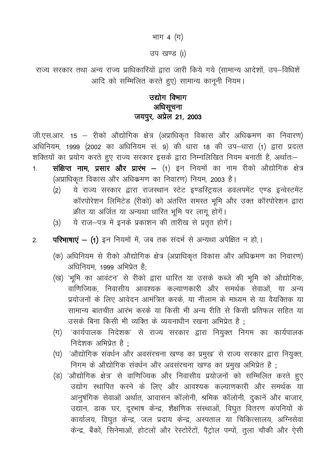# भाग 4 (ग)

उप खण्ड (I)

राज्य सरकार तथा अन्य राज्य प्राधिकारियों द्वारा जारी किये गये (सामान्य आदेशों, उप-विधिशें आदि को सम्मिलित करते हुए) सामान्य कानूनी नियम।

# उद्योग विभाग अधिसूचना जयपुर, अप्रेल 21, 2003

जी.एस.आर. 15 – रीको औद्योगिक क्षेत्र (अप्राधिकृत विकास और अधिक्रमण का निवारण) अधिनियम, 1999 (2002 का अधिनियम सं. 9) की धारा 18 की उप-धारा (1) द्वारा प्रदत्त शक्तियों का प्रयोग करते हुए राज्य सरकार इसके द्वारा निम्नलिखित नियम बनाती है, अर्थातः–

- संक्षिप्त नाम, प्रसार और प्रारंभ (1) इन नियमों का नाम रीको औद्योगिक क्षेत्र  $1.$ (अप्राधिकृत विकास और अधिकमण का निवारण) नियम, 2003 है।
	- ये राज्य सरकार द्वारा राजस्थान स्टेट इण्डस्ट्रियल डवलपमेंट एण्ड इन्वेस्टमेंट  $(2)$ कॉरपोरेशन लिमिटेड (रीको) को अंतरित समस्त भूमि और उक्त कॉरपोरेशन द्वारा क्रीत या अर्जित या अन्यथा धारित भूमि पर लागू होगें।
	- ये राज-पत्र में इनके प्रकाशन की तारीख से प्रतृत होगें।  $(3)$
- परिभाषाएं (1) इन नियमों में, जब तक संदर्भ से अन्यथा अपेक्षित न हो,।  $\overline{2}$ 
	- (क) अधिनियम से रीको औद्योगिक क्षेत्र (अप्राधिकृत विकास और अधिक्रमण का निवारण) अधिनियम, 1999 अभिप्रेत है:
	- (ख) 'भूमि का आवंटन' से रीको द्वारा धारित या उसके कब्जे की भूमि को औद्योगिक, वाणिज्यिक, निवासीय आवश्यक कल्याणकारी और समर्थक सेवाओं, या अन्य प्रयोजनों के लिए आवेदन आमंत्रित करके. या नीलाम के माध्यम से या वैयक्तिक या सामान्य बातचीत आरंभ करके या किसी भी अन्य रीति से किसी प्रतिफल सहित या उसके बिना किसी भी व्यक्ति के व्ययनाधीन रखना अभिप्रेत है :
	- (ग) 'कार्यपालक निदेशक' से राज्य सरकार द्वारा नियुक्त निगम का कार्यपालक निदेशक अभिप्रेत है $\cdot$
	- (घ) 'औद्योगिक संवर्धन और अवसंरचना खण्ड का प्रमुख' से राज्य सरकार द्वारा नियुक्त, निगम के औद्योगिक संवर्धन और अवसंरचना खण्ड का प्रमुख अभिप्रेत है;
	- (ड) 'औद्योगिक क्षेत्र' से वाणिज्यिक और निवासीय प्रयोजनों को सम्मिलित करते हुए उद्योग स्थापित करने के लिए और आवश्यक कल्याणकारी और समर्थक या आनुषंगिक सेवाओं अर्थात, आवासन कॉलोनी, श्रमिक कॉलोनी, दुकानें और बाजार, उद्यान, डाक घर, दूरभाष केन्द्र, शैक्षणिक संस्थाओं, विघुत वितरण कंपनियों के कार्यालय, विघुत केन्द्र, जल प्रदाय केन्द्र, अस्पताल या चिकित्सालय, अग्निसेवा केन्द्र, बैंकों, सिनेमाओं, होटलों और रेस्टोरेंटों, पैट्रोल पम्पों, तुला चौकी और ऐसी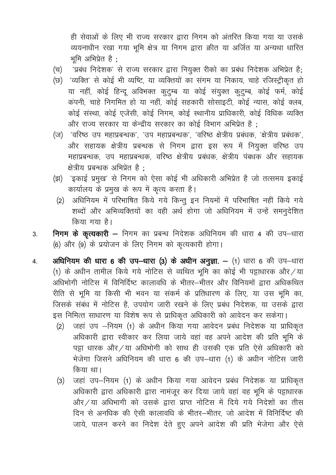ही सेवाओं के लिए भी राज्य सरकार द्वारा निगम को अंतरित किया गया या उसके व्ययनाधीन रखा गया भूमि क्षेत्र या निगम द्वारा क्रीत या अर्जित या अन्यथा धारित भमि अभिप्रेत है:

- 'प्रबंध निदेशक' से राज्य सरकार द्वारा नियुक्त रीको का प्रबंध निदेशक अभिप्रेत है; (च)
- (छ) 'व्यक्ति' से कोई भी व्यष्टि, या व्यक्तियों का संगम या निकाय, चाहे रजिस्ट्रीकृत हो या नहीं, कोई हिन्दू अविभक्त कुटुम्ब या कोई संयुक्त कुटुम्ब, कोई फर्म, कोई कंपनी, चाहे निगमित हो या नहीं, कोई सहकारी सोसाइटी, कोई न्यास, कोई क्लब, कोई संस्था, कोई एजेंसी, कोई निगम, कोई स्थानीय प्राधिकारी, कोई विधिक व्यक्ति और राज्य सरकार या केन्द्रीय सरकार का कोई विभाग अभिप्रेत है:
- (ज) 'वरिष्ठ उप महाप्रबन्धक', 'उप महाप्रबन्धक', 'वरिष्ठ क्षेत्रीय प्रबंधक, 'क्षेत्रीय प्रबंधक', और सहायक क्षेत्रीय प्रबन्धक से निगम द्वारा इस रूप में नियुक्त वरिष्ठ उप महाप्रबन्धक, उप महाप्रबन्धक, वरिष्ठ क्षेत्रीय प्रबंधक, क्षेत्रीय पंबधक और सहायक क्षेत्रीय प्रबन्धक अभिप्रेत है):
- (झ) 'इकाई प्रमुख' से निगम को ऐसा कोई भी अधिकारी अभिप्रेत है जो तत्समय इकाई कार्यालय के प्रमुख के रूप में कृत्य करता है।
	- अधिनियम में परिभाषित किये गये किन्तु इन नियमों में परिभाषित नहीं किये गये  $(2)$ शब्दों और अभिव्यक्तियों का वही अर्थ होगा जो अधिनियम में उन्हें समनुदेशित किया गया है।
- निगम के कृत्यकारी निगम का प्रबन्ध निदेशक अधिनियम की धारा 4 की उप–धारा  $\overline{3}$ . (6) और (9) के प्रयोजन के लिए निगम को कृत्यकारी होगा।
- अधिनियम की धारा 6 की उप-धारा (3) के अधीन अनुज्ञा. (1) धारा 6 की उप-धारा  $\overline{4}$ . (1) के अधीन तामील किये गये नोटिस से व्यथित भूमि का कोई भी पट्टाधारक और / या अधिभोगी नोटिस में विनिर्दिष्ट कालावधि के भीतर-भीतर और विनियमों द्वारा अधिकथित रीति से भूमि या किसी भी भवन या संकर्म के प्रतिधारण के लिए, या उस भूमि का, जिसके संबंध में नोटिस है, उपयोग जारी रखने के लिए प्रबंध निदेशक, या उसके द्वारा इस निमित्त साधारण या विशेष रूप से प्राधिकृत अधिकारी को आवेदन कर सकेगा।
	- जहां उप -नियम (1) के अधीन किया गया आवेदन प्रबंध निदेशक या प्राधिकृत  $(2)$ अधिकारी द्वारा स्वीकार कर लिया जाये वहां वह अपने आदेश की प्रति भूमि के पड़ा धारक और /या अधिभोगी को साथ ही उसकी एक प्रति ऐसे अधिकारी को भेजेगा जिसने अधिनियम की धारा 6 की उप-धारा (1) के अधीन नोटिस जारी किया था।
	- जहां उप-नियम (1) के अधीन किया गया आवेदन प्रबंध निदेशक या प्राधिकृत  $(3)$ अधिकारी द्वारा अधिकारी द्वारा नामंजूर कर दिया जाये वहां वह भूमि के पट्टाधारक और/या अधिभागी को उसके द्वारा प्राप्त नोटिस में दिये गये निदेशों का तीस दिन से अनधिक की ऐसी कालावधि के भीतर-भीतर, जो आदेश में विनिर्दिष्ट की जाये, पालन करने का निदेश देते हुए अपने आदेश की प्रति भेजेगा और ऐसे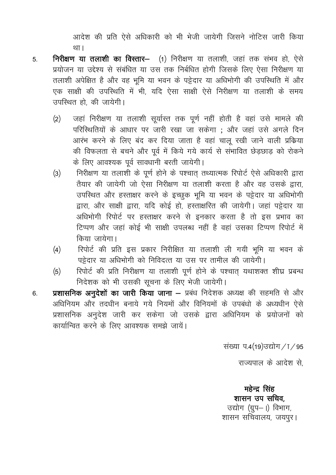आदेश की प्रति ऐसे अधिकारी को भी भेजी जायेगी जिसने नोटिस जारी किया था।

- निरीक्षण या तलाशी का विस्तार- (1) निरीक्षण या तलाशी, जहां तक संभव हो, ऐसे  $5<sub>1</sub>$ प्रयोजन या उद्देश्य से संबंधित या उस तक निर्बधित होगी जिसके लिए ऐसा निरीक्षण या तलाशी अपेक्षित है और वह भूमि या भवन के पट्टेदार या अधिभोगी की उपस्थिति में और एक साक्षी की उपस्थिति में भी, यदि ऐसा साक्षी ऐसे निरीक्षण या तलाशी के समय उपस्थित हो की जायेगी।
	- जहां निरीक्षण या तलाशी सूर्यास्त तक पूर्ण नहीं होती है वहां उसे मामले की  $(2)$ परिस्थितियों के आधार पर जारी रखा जा सकेगा ; और जहां उसे अगले दिन आरंभ करने के लिए बंद कर दिया जाता है वहां चालू रखी जाने वाली प्रक्रिया की विफलता से बचने और पूर्व में किये गये कार्य से संभावित छेड़छाड़ को रोकने के लिए आवश्यक पूर्व सावधानी बरती जायेगी।
	- निरीक्षण या तलाशी के पूर्ण होने के पश्चात् तथ्यात्मक रिपोर्ट ऐसे अधिकारी द्वारा  $(3)$ तैयार की जायेगी जो ऐसा निरीक्षण या तलाशी करता है और वह उसके द्वारा, उपस्थित और हस्ताक्षर करने के इच्छुक भूमि या भवन के पट्टेदार या अधिभोगी द्वारा, और साक्षी द्वारा, यदि कोई हो, हस्ताक्षरित की जायेगी। जहां पट्टेदार या अधिभोगी रिपोर्ट पर हस्ताक्षर करने से इनकार करता है तो इस प्रभाव का टिप्पण और जहां कोई भी साक्षी उपलब्ध नहीं है वहां उसका टिप्पण रिपोर्ट में किया जायेगा।
	- रिपोर्ट की प्रति इस प्रकार निरीक्षित या तलाशी ली गयी भूमि या भवन के  $(4)$ पट्टेदार या अधिभोगी को निविदत्त या उस पर तामील की जायेगी।
	- रिपोर्ट की प्रति निरीक्षण या तलाशी पूर्ण होने के पश्चात् यथाशक्त शीघ्र प्रबन्ध  $(5)$ निदेशक को भी उसकी सूचना के लिए भेजी जायेगी।
- प्रशासनिक अनुदेशों का जारी किया जाना प्रबंध निदेशक अध्यक्ष की सहमति से और  $6.$ अधिनियम और तदधीन बनाये गये नियमों और विनियमों के उपबंधो के अध्यधीन ऐसे प्रशासनिक अनुदेश जारी कर सकेगा जो उसके द्वारा अधिनियम के प्रयोजनों को कार्यान्वित करने के लिए आवश्यक समझे जायें।

संख्या प.4(19)उद्योग / 1 / 95

राज्यपाल के आदेश से

महेन्द्र सिंह शासन उप सचिव, उद्योग (ग्रुप-।) विभाग, शासन सचिवालय, जयपूर।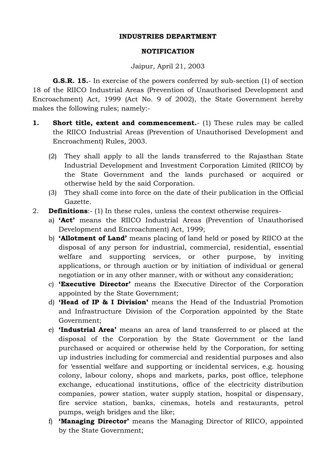#### **INDUSTRIES DEPARTMENT**

#### **NOTIFICATION**

Jaipur, April 21, 2003

**G.S.R. 15.**- In exercise of the powers conferred by sub-section (1) of section 18 of the RIICO Industrial Areas (Prevention of Unauthorised Development and Encroachment) Act, 1999 (Act No. 9 of 2002), the State Government hereby makes the following rules; namely:-

- **1. Short title, extent and commencement.** (1) These rules may be called the RIICO Industrial Areas (Prevention of Unauthorised Development and Encroachment) Rules, 2003.
	- (2) They shall apply to all the lands transferred to the Rajasthan State Industrial Development and Investment Corporation Limited (RIICO) by the State Government and the lands purchased or acquired or otherwise held by the said Corporation.
	- (3) They shall come into force on the date of their publication in the Official Gazette.
- 2. **Definitions**:- (1) In these rules, unless the context otherwise requires
	- a) **'Act'** means the RIICO Industrial Areas (Prevention of Unauthorised Development and Encroachment) Act, 1999;
	- b) **'Allotment of Land'** means placing of land held or posed by RIICO at the disposal of any person for industrial, commercial, residential, essential welfare and supporting services, or other purpose, by inviting applications, or through auction or by initiation of individual or general negotiation or in any other manner, with or without any consideration;
	- c) **'Executive Director'** means the Executive Director of the Corporation appointed by the State Government;
	- d) **'Head of IP & I Division'** means the Head of the Industrial Promotion and Infrastructure Division of the Corporation appointed by the State Government;
	- e) **'Industrial Area'** means an area of land transferred to or placed at the disposal of the Corporation by the State Government or the land purchased or acquired or otherwise held by the Corporation, for setting up industries including for commercial and residential purposes and also for 'essential welfare and supporting or incidental services, e.g. housing colony, labour colony, shops and markets, parks, post office, telephone exchange, educational institutions, office of the electricity distribution companies, power station, water supply station, hospital or dispensary, fire service station, banks, cinemas, hotels and restaurants, petrol pumps, weigh bridges and the like;
	- f) **'Managing Director'** means the Managing Director of RIICO, appointed by the State Government;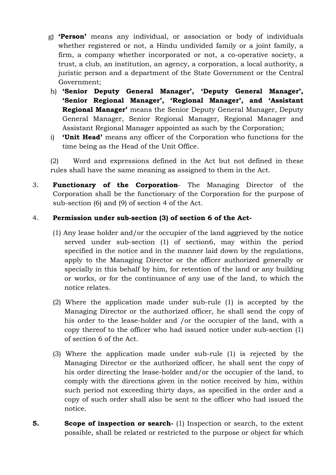- g) **'Person'** means any individual, or association or body of individuals whether registered or not, a Hindu undivided family or a joint family, a firm, a company whether incorporated or not, a co-operative society, a trust, a club, an institution, an agency, a corporation, a local authority, a juristic person and a department of the State Government or the Central Government;
- h) **'Senior Deputy General Manager', 'Deputy General Manager', 'Senior Regional Manager', 'Regional Manager', and 'Assistant Regional Manager'** means the Senior Deputy General Manager, Deputy General Manager, Senior Regional Manager, Regional Manager and Assistant Regional Manager appointed as such by the Corporation;
- i) **'Unit Head'** means any officer of the Corporation who functions for the time being as the Head of the Unit Office.

(2) Word and expressions defined in the Act but not defined in these rules shall have the same meaning as assigned to them in the Act.

3. **Functionary of the Corporation**- The Managing Director of the Corporation shall be the functionary of the Corporation for the purpose of sub-section (6) and (9) of section 4 of the Act.

### 4. **Permission under sub-section (3) of section 6 of the Act-**

- (1) Any lease holder and/or the occupier of the land aggrieved by the notice served under sub-section (1) of section6, may within the period specified in the notice and in the manner laid down by the regulations, apply to the Managing Director or the officer authorized generally or specially in this behalf by him, for retention of the land or any building or works, or for the continuance of any use of the land, to which the notice relates.
- (2) Where the application made under sub-rule (1) is accepted by the Managing Director or the authorized officer, he shall send the copy of his order to the lease-holder and /or the occupier of the land, with a copy thereof to the officer who had issued notice under sub-section (1) of section 6 of the Act.
- (3) Where the application made under sub-rule (1) is rejected by the Managing Director or the authorized officer, he shall sent the copy of his order directing the lease-holder and/or the occupier of the land, to comply with the directions given in the notice received by him, within such period not exceeding thirty days, as specified in the order and a copy of such order shall also be sent to the officer who had issued the notice.
- **5. Scope of inspection or search-** (1) Inspection or search, to the extent possible, shall be related or restricted to the purpose or object for which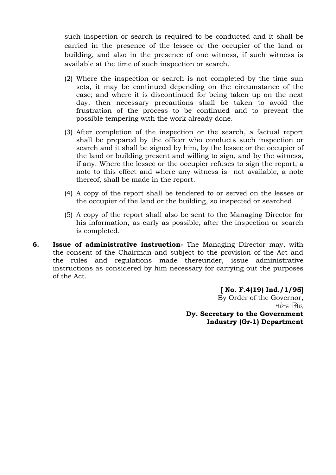such inspection or search is required to be conducted and it shall be carried in the presence of the lessee or the occupier of the land or building, and also in the presence of one witness, if such witness is available at the time of such inspection or search.

- (2) Where the inspection or search is not completed by the time sun sets, it may be continued depending on the circumstance of the case; and where it is discontinued for being taken up on the next day, then necessary precautions shall be taken to avoid the frustration of the process to be continued and to prevent the possible tempering with the work already done.
- (3) After completion of the inspection or the search, a factual report shall be prepared by the officer who conducts such inspection or search and it shall be signed by him, by the lessee or the occupier of the land or building present and willing to sign, and by the witness, if any. Where the lessee or the occupier refuses to sign the report, a note to this effect and where any witness is not available, a note thereof, shall be made in the report.
- (4) A copy of the report shall be tendered to or served on the lessee or the occupier of the land or the building, so inspected or searched.
- (5) A copy of the report shall also be sent to the Managing Director for his information, as early as possible, after the inspection or search is completed.
- **6. Issue of administrative instruction-** The Managing Director may, with the consent of the Chairman and subject to the provision of the Act and the rules and regulations made thereunder, issue administrative instructions as considered by him necessary for carrying out the purposes of the Act.

**[ No. F.4(19) Ind./1/95]** By Order of the Governor, महेन्द्र सिंह **Dy. Secretary to the Government Industry (Gr-1) Department**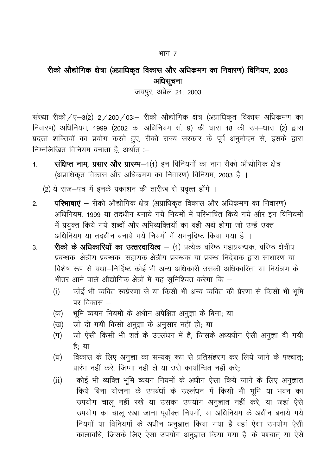#### भाग $<sub>7</sub>$ </sub>

# रीको औद्योगिक क्षेत्रा (अप्राधिकृत विकास और अधिक्रमण का निवारण) विनियम, 2003 अधिसूचना

जयपुर, अप्रेल 21, 2003

संख्या रीको / ए-3(2) 2 / 200 / 03: - रीको औद्योगिक क्षेत्र (अप्राधिकृत विकास अधिक्रमण का निवारण) अधिनियम, 1999 (2002 का अधिनियम सं. 9) की धारा 18 की उप-धारा (2) द्वारा प्रदत्त शक्तियों का प्रयोग करते हुए, रीको राज्य सरकार के पूर्व अनुमोदन से, इसके द्वारा निम्नलिखित विनियम बनाता है, अर्थात् $-$ 

- 1. **संक्षिप्त नाम, प्रसार और प्रारम्भ**—1(1) इन विनियमों का नाम रीको औद्योगिक क्षेत्र (अप्राधिकृत विकास और अधिक्रमण का निवारण) विनियम, 2003 है ।
	- (2) ये राज-पत्र में इनके प्रकाशन की तारीख से प्रवृत्त होंगे ।
- 2. **परिभाषाएं** रीको औद्योगिक क्षेत्र (अप्राधिकृत विकास और अधिक्रमण का निवारण) अधिनियम, 1999 या तदधीन बनाये गये नियमों में परिभाषित किये गये और इन विनियमों में प्रयुक्त किये गये शब्दों और अभिव्यक्तियों का वही अर्थ होगा जो उन्हें उक्त अधिनियम या तदधीन बनाये गये नियमों में समनुदिष्ट किया गया है ।
- 3. शिको के अधिकारियों का उत्तरदायित्व (1) प्रत्येक वरिष्ठ महाप्रबन्धक, वरिष्ठ क्षेत्रीय प्रबन्धक, क्षेत्रीय प्रबन्धक, सहायक क्षेत्रीय प्रबन्धक या प्रबन्ध निदेशक द्वारा साधारण या विशेष रूप से यथा-निर्दिष्ट कोई भी अन्य अधिकारी उसकी अधिकारिता या नियंत्रण के भीतर आने वाले औद्योगिक क्षेत्रों में यह सुनिश्चित करेगा कि  $-$ 
	- (i) कोई भी व्यक्ति स्वप्रेरणा से या किसी भी अन्य व्यक्ति की प्रेरणा से किसी भी भूमि पर विकास  $-$
	- (क) भूमि व्ययन नियमों के अधीन अपेक्षित अनूज्ञा के बिना; या
	- (ख) जो दी गयी किसी अनुज्ञा के अनुसार नहीं हो; या
	- (ग) जो ऐसी किसी भी शर्त के उल्लंधन में है, जिसके अध्यधीन ऐसी अनुज्ञा दी गयी है: या
	- (घ) विकास के लिए अनुज्ञा का सम्यक रूप से प्रतिसंहरण कर लिये जाने के पश्चात; प्रारंभ नहीं करे. जिम्मा नही ले या उसे कार्यान्वित नहीं करे:
	- (ii) कोई भी व्यक्ति भमि व्ययन नियमों के अधीन ऐसा किये जाने के लिए अनज्ञात किये बिना योजना के उपबंधों के उल्लंधन में किसी भी भूमि या भवन का उपयोग चालू नहीं रखे या उसका उपयोग अनुज्ञात नहीं करे, या जहां ऐसे उपयोग का चालू रखा जाना पूर्वोक्त नियमों, या अधिनियम के अधीन बनाये गये नियमों या विनियमों के अधीन अनुज्ञात किया गया है वहां ऐसा उपयोग ऐसी कालावधि, जिसके लिए ऐसा उपयोग अनुज्ञात किया गया है, के पश्चात् या ऐसे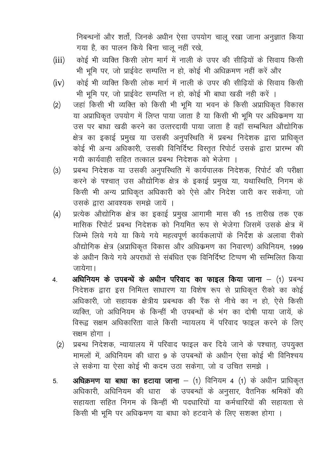निबन्धनों और शर्तो, जिनके अधीन ऐसा उपयोग चालू रखा जाना अनुज्ञात किया गया है, का पालन किये बिना चालू नहीं रखे,

- कोई भी व्यक्ति किसी लोग मार्ग में नाली के उपर की सीढ़ियों के सिवाय किसी  $(iii)$ भी भूमि पर, जो प्राईवेट सम्पत्ति न हो, कोई भी अधिक्रमण नहीं करें और
- कोई भी व्यक्ति किसी लोक मार्ग में नाली के उपर की सीढियों के सिवाय किसी  $(iv)$ भी भूमि पर, जो प्राईवेट सम्पत्ति न हो, कोई भी बाधा खड़ी नही करें ।
- जहां किसी भी व्यक्ति को किसी भी भूमि या भवन के किसी अप्राधिकृत विकास  $(2)$ या अप्राधिकृत उपयोग में लिप्त पाया जाता है या किसी भी भूमि पर अधिक्रमण या उस पर बाधा खड़ी करने का उत्तरदायी पाया जाता है वहाँ सम्बन्धित औद्योगिक क्षेत्र का इकाई प्रमुख या उसकी अनुपस्थिति में प्रबन्ध निदेशक द्वारा प्राधिकृत कोई भी अन्य अधिकारी, उसकी विनिर्दिष्ट विस्तृत रिपोर्ट उसके द्वारा प्रारम्भ की गयी कार्यवाही सहित तत्काल प्रबन्ध निदेशक को भेजेगा ।
- प्रबन्ध निदेशक या उसकी अनुपरिथति में कार्यपालक निदेशक, रिपोर्ट की परीक्षा  $(3)$ करने के पश्चात् उस औद्योगिक क्षेत्र के इकाई प्रमुख या, यथास्थिति, निगम के किसी भी अन्य प्राधिकृत अधिकारी को ऐसे और निदेश जारी कर सकेगा, जो उसके द्वारा आवश्यक समझे जायें ।
- प्रत्येक औद्योगिक क्षेत्र का इकाई प्रमुख आगामी मास की 15 तारीख तक एक  $(4)$ मासिक रिपोर्ट प्रबन्ध निदेशक को नियमित रूप से भेजेगा जिसमें उसके क्षेत्र में जिम्मे लिये गये या किये गये महत्वपूर्ण कार्यकलापों के निर्देश के अलावा रीको ओद्योगिक क्षेत्र (अप्राधिकृत विकास और अधिक्रमण का निवारण) अधिनियम, 1999 के अधीन किये गये अपराधों से संबंधित एक विनिर्दिष्ट टिप्पण भी सम्मिलित किया जायेगा।
- अधिनियम के उपबन्धें के अधीन परिवाद का फाइल किया जाना  $-$  (1) प्रबन्ध  $\overline{4}$ . निदेशक द्वारा इस निमित्त साधारण या विशेष रूप से प्राधिकृत रीको का कोई अधिकारी, जो सहायक क्षेत्रीय प्रबन्धक की रैंक से नीचे का न हो, ऐसे किसी व्यक्ति, जो अधिनियम के किन्हीं भी उपबन्धों के भंग का दोषी पाया जायें, के विरूद्व सक्षम अधिकारिता वाले किसी न्यायलय में परिवाद फाइल करने के लिए सक्षम होगा ।
	- प्रबन्ध निदेशक, न्यायालय में परिवाद फाइल कर दिये जाने के पश्चात्, उपयुक्त  $(2)$ मामलों में, अधिनियम की धारा 9 के उपबन्धों के अधीन ऐसा कोई भी विनिश्चय ले सकेगा या ऐसा कोई भी कदम उठा सकेगा, जो व उचित समझे ।
- अधिक्रमण या बाधा का हटाया जाना (1) विनियम 4 (1) के अधीन प्राधिकृत  $5<sub>1</sub>$ अधिकारी, अधिनियम की धारा के उपबन्धों के अनुसार, वैतनिक श्रमिकों की सहायता सहित निगम के किन्हीं भी पदधारियों या कर्मचारियों की सहायता से किसी भी भूमि पर अधिकमण या बाधा को हटवाने के लिए सशक्त होगा ।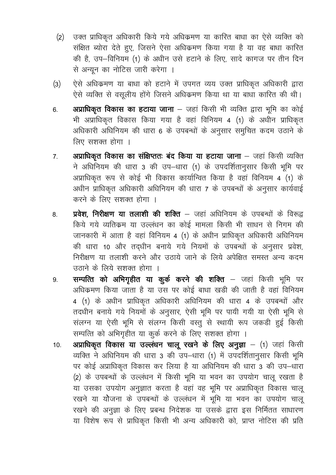- उक्त प्राधिकृत अधिकारी किये गये अधिक्रमण या कारित बाधा का ऐसे व्यक्ति को  $(2)$ संक्षित ब्योरा देते हुए, जिसने ऐसा अधिक्रमण किया गया है या वह बाधा कारित की है, उप-विनियम (1) के अधीन उसे हटाने के लिए, सादे कागज पर तीन दिन से अन्यून का नोटिस जारी करेगा ।
- ऐसे अधिक्रमण या बाधा को हटाने में उपगत व्यय उक्त प्राधिकृत अधिकारी द्वारा  $(3)$ ऐसे व्यक्ति से वसूलीय होंगे जिसने अधिकमण किया था या बाधा कारित की थी।
- अप्राधिकृत विकास का हटाया जाना जहां किसी भी व्यक्ति द्वारा भूमि का कोई 6. भी अप्राधिकृत विकास किया गया है वहां विनियम 4 (1) के अधीन प्राधिकृत अधिकारी अधिनियम की धारा 6 के उपबन्धों के अनुसार समुचित कदम उठाने के लिए सशक्त होगा ।
- अप्राधिकृत विकास का संक्षिप्ततः बंद किया या हटाया जाना जहां किसी व्यक्ति  $7<sub>1</sub>$ ने अधिनियम की धारा 3 की उप-धारा (1) के उपदर्शितानुसार किसी भूमि पर अप्राधिकृत रूप से कोई भी विकास कार्यान्वित किया है वहां विनियम 4 (1) के अधीन प्राधिकृत अधिकारी अधिनियम की धारा 7 के उपबन्धों के अनुसार कार्यवाई करने के लिए सशक्त होगा ।
- प्रवेश, निरीक्षण या तलाशी की शक्ति जहां अधिनियम के उपबन्धों के विरूद्व 8. किये गये व्यतिक्रम या उल्लंधन का कोई मामला किसी भी साधन से निगम की जानकारी में आता है वहां विनियम 4 (1) के अधीन प्राधिकृत अधिकारी अधिनियम की धारा 10 और तदधीन बनाये गये नियमों के उपबन्धों के अनसार प्रवेश, निरीक्षण या तलाशी करने और उठाये जाने के लिये अपेक्षित समस्त अन्य कदम उठाने के लिये सशक्त होगा ।
- सम्पत्ति को अभिगृहीत या कुर्क करने की शक्ति जहां किसी भूमि पर 9. अधिक्रमण किया जाता है या उस पर कोई बाधा खड़ी की जाती है वहां विनियम 4 (1) के अधीन प्राधिकृत अधिकारी अधिनियम की धारा 4 के उपबन्धों और तदधीन बनाये गये नियमों के अनुसार, ऐसी भूमि पर पायी गयी या ऐसी भूमि से संलग्न या ऐसी भूमि से संलग्न किसी वस्तु से स्थायी रूप जकडी हुई किसी सम्पत्ति को अभिगृहीत या कुर्क करने के लिए सशक्त होगा ।
- अप्राधिकृत विकास या उल्लंधन चालू रखने के लिए अनुज्ञा (1) जहां किसी  $10.$ व्यक्ति ने अधिनियम की धारा 3 की उप-धारा (1) में उपदर्शितानुसार किसी भूमि पर कोई अप्राधिकृत विकास कर लिया है या अधिनियम की धारा 3 की उप-धारा (2) के उपबन्धों के उल्लंधन में किसी भूमि या भवन का उपयोग चालू रखता है या उसका उपयोग अनुज्ञात करता है वहां वह भूमि पर अप्राधिकृत विकास चालू रखने या योजना के उपबन्धों के उल्लंधन में भूमि या भवन का उपयोग चालू रखने की अनुज्ञा के लिए प्रबन्ध निदेशक या उसके द्वारा इस निर्मितत साधारण या विशेष रूप से प्राधिकृत किसी भी अन्य अधिकारी को, प्राप्त नोटिस की प्रति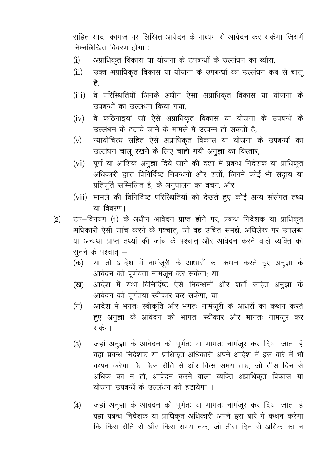सहित सादा कागज पर लिखित आवेदन के माध्यम से आवेदन कर सकेगा जिसमें निम्नलिखित विवरण होगा :-

- अप्राधिकृत विकास या योजना के उपबन्धों के उल्लंधन का ब्यौरा,  $(i)$
- उक्त अप्राधिकृत विकास या योजना के उपबन्धों का उल्लंधन कब से चालू  $(ii)$ है,
- वे परिस्थितियॉ जिनके अधीन ऐसा अप्राधिकृत विकास या योजना के  $(iii)$ उपबन्धों का उल्लंधन किया गया.
- वे कठिनाइयां जो ऐसे अप्राधिकृत विकास या योजना के उपबन्धें के  $(iv)$ उल्लंधन के हटाये जाने के मामले में उत्पन्न हो सकती है.
- न्यायोचित्य सहित ऐसे अप्राधिकृत विकास या योजना के उपबन्धों का  $(v)$ उल्लंधन चालू रखने के लिए चाही गयी अनूज्ञा का विस्तार,
- पूर्ण या आंशिक अनूज्ञा दिये जाने की दशा में प्रबन्ध निदेशक या प्राधिकृत  $(v_i)$ अधिकारी द्वारा विनिर्दिष्ट निबन्धनों और शर्तो, जिनमें कोई भी संद्राय या प्रतिपूर्ति सम्मिलित है, के अनुपालन का वचन, और
- मामले की विनिर्दिष्ट परिस्थितियों को देखते हुए कोई अन्य संसंगत तथ्य  $(vii)$ या विवरण |
- उप-विनयम (1) के अधीन आवेदन प्राप्त होने पर, प्रबन्ध निदेशक या प्राधिकृत  $(2)$ अधिकारी ऐसी जांच करने के पश्चात्, जो वह उचित समझे, अधिलेख पर उपलब्ध या अन्यथा प्राप्त तथ्यों की जांच के पश्चात् और आवेदन करने वाले व्यक्ति को सूनने के पश्चात् –
	- या तो आदेश में नामंजूरी के आधारों का कथन करते हुए अनुज्ञा के (क) आवेदन को पूर्णयता नामंजून कर सकेगा; या
	- आदेश में यथा-विनिर्दिष्ट ऐसे निबन्धनों और शर्तो सहित अनुज्ञा के (ख) आवेदन को पूर्णतया स्वीकार कर सकेगा; या
	- आदेश में भगतः स्वीकृति और भगतः नामंजूरी के आधरों का कथन करते  $(\pi)$ हुए अनुज्ञा के आवेदन को भागतः स्वीकार और भागतः नामंजुर कर सकेगा।
	- जहां अनुज्ञा के आवेदन को पूर्णतः या भागतः नामंजूर कर दिया जाता है  $(3)$ वहां प्रबन्ध निदेशक या प्राधिकृत अधिकारी अपने आदेश में इस बारे में भी कथन करेगा कि किस रीति से और किस समय तक, जो तीस दिन से अधिक का न हो, आवेदन करने वाला व्यक्ति अप्राधिकृत विकास या योजना उपबन्धें के उल्लंधन को हटायेगा ।
	- जहां अनुज्ञा के आवेदन को पूर्णतः या भागतः नामंजूर कर दिया जाता है  $(4)$ वहां प्रबन्ध निदेशक या प्राधिकृत अधिकारी अपने इस बारे में कथन करेगा कि किस रीति से और किस समय तक, जो तीस दिन से अधिक का न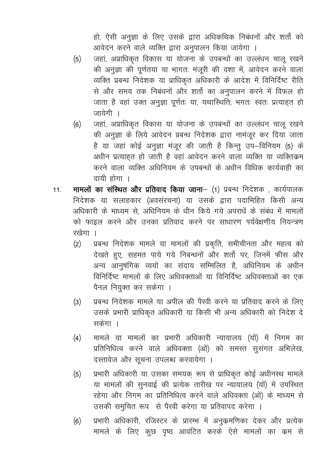हो, ऐसी अनुज्ञा के लिए उसके द्वारा अधिकथिक निबंधनों और शर्तो को आवेदन करने वाले व्यक्ति द्वारा अनुपालन किया जायेगा ।

- जहां, अप्राधिकृत विकास या योजना के उपबन्धों का उल्लंधन चालू रखने  $(5)$ की अनुज्ञा की पूर्णतया या भागतः मंजूरी की दशा में, आवेदन करने वाला व्यक्ति प्रबन्ध निदेशक या प्राधिकृत अधिकारी के आदेश में विनिर्दिष्ट रीति से और समय तक निबंधनों और शर्तो का अनुपालन करने में विफल हो जाता है वहां उक्त अनुज्ञा पूर्णतः या, यथास्थिति, भगतः स्वतः प्रत्याहत हो जायेगी ।
- जहां, अप्राधिकृत विकास या योजना के उपबन्धों का उल्लंधन चालू रखने  $(6)$ की अनुज्ञा के लिये आवेदन प्रबन्ध निदेशक द्वारा नामंजूर कर दिया जाता है या जहां कोई अनुज्ञा मंजूर की जाती है किन्तू उप–विनियम (5) के अधीन प्रत्याहत हो जाती है वहां आवेदन करने वाला व्यक्ति या व्यक्तिक्रम करने वाला व्यक्ति अधिनियम के उपबन्धों के अधीन विधिक कार्यवाही का दायी होगा ।
- मामलों का संस्थित और प्रतिवाद किया जाना– (1) प्रबन्ध निदेशक , कार्यपालक  $11<sub>1</sub>$ निदेशक या सलाहकार (अवसंरचना) या उसके द्वारा पदाभिहित किसी अन्य अधिकारी के माध्यम से, अधिनियम के धीन किये गये अपराधें के संबंध में मामलों को फाइल करने और उनका प्रतिवाद करने पर साधारण पर्यवेक्षणीय नियन्त्रण रखेगा ।
	- प्रबन्ध निदेशक मामले या मामलों की प्रकृति, समीचीनता और महत्व को  $(2)$ देखते हुए, सहमत पाये गये निबन्धनों और शर्तो पर, जिनमें फीस और अन्य आनुषंगिक व्ययों का संदाय सम्मिलित है, अधिनियम के अधीन विनिर्दिष्ट मामलों के लिए अधिवक्ताओं या विनिर्दिष्ट अधिवक्ताओं का एक पैनल नियुक्त कर सकेगा ।
	- प्रबन्ध निदेशक मामले या अपील की पैरवी करने या प्रतिवाद करने के लिए  $(3)$ उसके प्रभारी प्राधिकृत अधिकारी या किसी भी अन्य अधिकारी को निदेश दे सकेगा ।
	- मामले या मामलों का प्रभारी अधिकारी न्यायालय (यों) में निगम का  $(4)$ प्रतिनिधित्व करने वाले अधिवक्ता (ओं) को समस्त सूसंगत अभिलेख, दस्तावेज और सूचना उपलब्ध करवायेगा ।
	- प्रभारी अधिकारी या उसका समयक रूप से प्राधिकृत कोई अधीनस्थ मामले  $(5)$ या मामलों की सुनवाई की प्रत्येक तारीख पर न्यायालय (यों) में उपस्थित रहेगा और निगम का प्रतिनिधित्व करने वाले अधिवक्ता (ओं) के माध्यम से उसकी समुचित रूप से पैरवी करेगा या प्रतिवापद करेगा ।
	- प्रभारी अधिकारी, रजिस्टर के प्रारम्भ में अनुक्रमणिका देकर और प्रत्येक  $(6)$ मामले के लिए कुछ पृष्ठ आवंटित करके ऐसे मामलों का क्रम से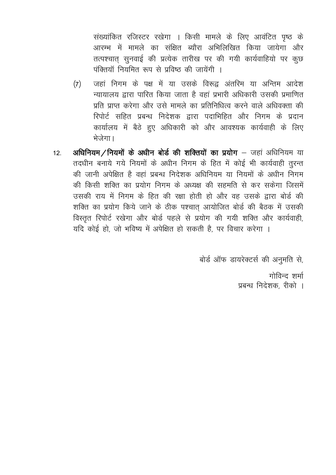संख्यांकित रजिस्टर रखेगा । किसी मामले के लिए आवंटित पृष्ठ के आरम्भ में मामले का संक्षित ब्यौरा अभिलिखित किया जायेगा और तत्पश्चात सनवाई की प्रत्येक तारीख पर की गयी कार्यवाहियो पर कछ पंक्तियॉ नियमित रूप से प्रविष्ठ की जायेंगी ।

- जहां निगम के पक्ष में या उसके विरूद्र अंतरिम या अन्तिम आदेश  $(7)$ न्यायालय द्वारा पारित किया जाता है वहां प्रभारी अधिकारी उसकी प्रमाणित प्रति प्राप्त करेगा और उसे मामले का प्रतिनिधित्व करने वाले अधिवक्ता की रिपोर्ट सहित प्रबन्ध निदेशक द्वारा पदाभिहित और निगम के प्रदान कार्यालय में बैठे हुए अधिकारी को और आवश्यक कार्यवाही के लिए भेजेगा।
- अधिनियम / नियमों के अधीन बोर्ड की शक्तियों का प्रयोग जहां अधिनियम या  $12<sup>1</sup>$ तदधीन बनाये गये नियमों के अधीन निगम के हित में कोई भी कार्यवाही तुरन्त की जानी अपेक्षित है वहां प्रबन्ध निदेशक अधिनियम या नियमों के अधीन निगम की किसी शक्ति का प्रयोग निगम के अध्यक्ष की सहमति से कर सकेगा जिसमें उसकी राय में निगम के हित की रक्षा होती हो और वह उसके द्वारा बोर्ड की शक्ति का प्रयोग किये जाने के ठीक पश्चात आयोजित बोर्ड की बैठक में उसकी विस्तृत रिपोर्ट रखेगा और बोर्ड पहले से प्रयोग की गयी शक्ति और कार्यवाही, यदि कोई हो, जो भविष्य में अपेक्षित हो सकती है, पर विचार करेगा ।

बोर्ड ऑफ डायरेक्टर्स की अनुमति से,

गोविन्द शर्मा प्रबन्ध निदेशक, रीको ।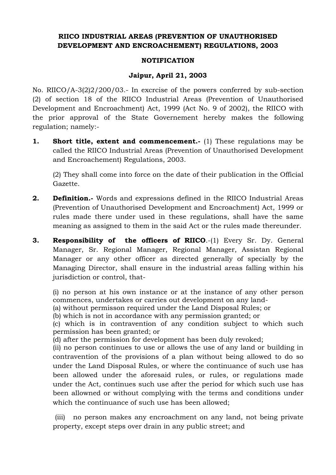# **RIICO INDUSTRIAL AREAS (PREVENTION OF UNAUTHORISED DEVELOPMENT AND ENCROACHEMENT) REGULATIONS, 2003**

#### **NOTIFICATION**

#### **Jaipur, April 21, 2003**

No. RIICO/A-3(2)2/200/03.- In excrcise of the powers conferred by sub-section (2) of section 18 of the RIICO Industrial Areas (Prevention of Unauthorised Development and Encroachment) Act, 1999 (Act No. 9 of 2002), the RIICO with the prior approval of the State Governement hereby makes the following regulation; namely:-

**1. Short title, extent and commencement.**- (1) These regulations may be called the RIICO Industrial Areas (Prevention of Unauthorised Development and Encroachement) Regulations, 2003.

(2) They shall come into force on the date of their publication in the Official Gazette.

- **2. Definition.** Words and expressions defined in the RIICO Industrial Areas (Prevention of Unauthorised Development and Encroachment) Act, 1999 or rules made there under used in these regulations, shall have the same meaning as assigned to them in the said Act or the rules made thereunder.
- **3. Responsibility of the officers of RIICO.-(1) Every Sr. Dy. General** Manager, Sr. Regional Manager, Regional Manager, Assistan Regional Manager or any other officer as directed generally of specially by the Managing Director, shall ensure in the industrial areas falling within his jurisdiction or control, that-

(i) no person at his own instance or at the instance of any other person commences, undertakes or carries out development on any land-

(a) without permisson required under the Land Disposal Rules; or

(b) which is not in accordance with any permission granted; or

(c) which is in contravention of any condition subject to which such permission has been granted; or

(d) after the permission for development has been duly revoked;

(ii) no person continues to use or allows the use of any land or building in contravention of the provisions of a plan without being allowed to do so under the Land Disposal Rules, or where the continuance of such use has been allowed under the aforesaid rules, or rules, or regulations made under the Act, continues such use after the period for which such use has been allowned or without complying with the terms and conditions under which the continuance of such use has been allowed;

(iii) no person makes any encroachment on any land, not being private property, except steps over drain in any public street; and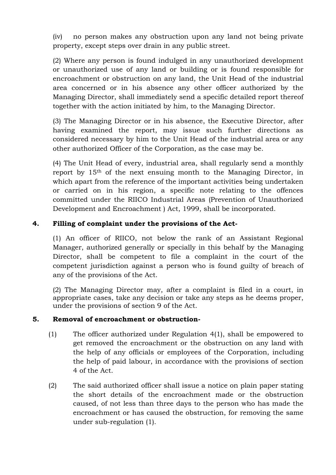(iv) no person makes any obstruction upon any land not being private property, except steps over drain in any public street.

(2) Where any person is found indulged in any unauthorized development or unauthorized use of any land or building or is found responsible for encroachment or obstruction on any land, the Unit Head of the industrial area concerned or in his absence any other officer authorized by the Managing Director, shall immediately send a specific detailed report thereof together with the action initiated by him, to the Managing Director.

(3) The Managing Director or in his absence, the Executive Director, after having examined the report, may issue such further directions as considered necessary by him to the Unit Head of the industrial area or any other authorized Officer of the Corporation, as the case may be.

(4) The Unit Head of every, industrial area, shall regularly send a monthly report by 15th of the next ensuing month to the Managing Director, in which apart from the reference of the important activities being undertaken or carried on in his region, a specific note relating to the offences committed under the RIICO Industrial Areas (Prevention of Unauthorized Development and Encroachment ) Act, 1999, shall be incorporated.

# **4. Filling of complaint under the provisions of the Act-**

(1) An officer of RIICO, not below the rank of an Assistant Regional Manager, authorized generally or specially in this behalf by the Managing Director, shall be competent to file a complaint in the court of the competent jurisdiction against a person who is found guilty of breach of any of the provisions of the Act.

(2) The Managing Director may, after a complaint is filed in a court, in appropriate cases, take any decision or take any steps as he deems proper, under the provisions of section 9 of the Act.

### **5. Removal of encroachment or obstruction-**

- (1) The officer authorized under Regulation 4(1), shall be empowered to get removed the encroachment or the obstruction on any land with the help of any officials or employees of the Corporation, including the help of paid labour, in accordance with the provisions of section 4 of the Act.
- (2) The said authorized officer shall issue a notice on plain paper stating the short details of the encroachment made or the obstruction caused, of not less than three days to the person who has made the encroachment or has caused the obstruction, for removing the same under sub-regulation (1).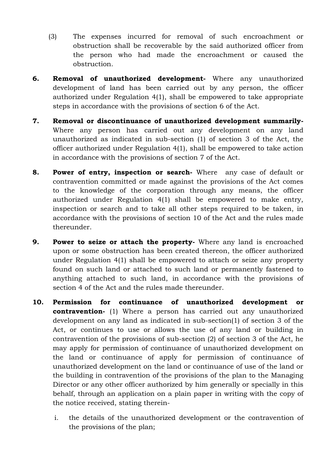- (3) The expenses incurred for removal of such encroachment or obstruction shall be recoverable by the said authorized officer from the person who had made the encroachment or caused the obstruction.
- **6. Removal of unauthorized development-** Where any unauthorized development of land has been carried out by any person, the officer authorized under Regulation 4(1), shall be empowered to take appropriate steps in accordance with the provisions of section 6 of the Act.
- **7. Removal or discontinuance of unauthorized development summarily-**Where any person has carried out any development on any land unauthorized as indicated in sub-section (1) of section 3 of the Act, the officer authorized under Regulation 4(1), shall be empowered to take action in accordance with the provisions of section 7 of the Act.
- **8. Power of entry, inspection or search-** Where any case of default or contravention committed or made against the provisions of the Act comes to the knowledge of the corporation through any means, the officer authorized under Regulation 4(1) shall be empowered to make entry, inspection or search and to take all other steps required to be taken, in accordance with the provisions of section 10 of the Act and the rules made thereunder.
- **9. Power to seize or attach the property-** Where any land is encroached upon or some obstruction has been created thereon, the officer authorized under Regulation 4(1) shall be empowered to attach or seize any property found on such land or attached to such land or permanently fastened to anything attached to such land, in accordance with the provisions of section 4 of the Act and the rules made thereunder.
- **10. Permission for continuance of unauthorized development or contravention-** (1) Where a person has carried out any unauthorized development on any land as indicated in sub-section(1) of section 3 of the Act, or continues to use or allows the use of any land or building in contravention of the provisions of sub-section (2) of section 3 of the Act, he may apply for permission of continuance of unauthorized development on the land or continuance of apply for permission of continuance of unauthorized development on the land or continuance of use of the land or the building in contravention of the provisions of the plan to the Managing Director or any other officer authorized by him generally or specially in this behalf, through an application on a plain paper in writing with the copy of the notice received, stating therein
	- i. the details of the unauthorized development or the contravention of the provisions of the plan;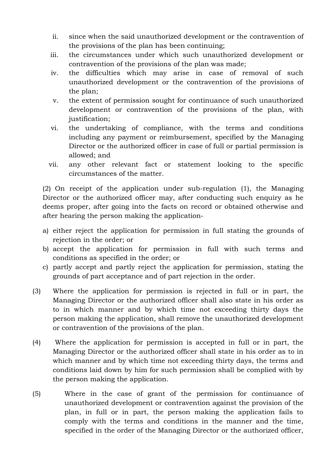- ii. since when the said unauthorized development or the contravention of the provisions of the plan has been continuing;
- iii. the circumstances under which such unauthorized development or contravention of the provisions of the plan was made;
- iv. the difficulties which may arise in case of removal of such unauthorized development or the contravention of the provisions of the plan;
- v. the extent of permission sought for continuance of such unauthorized development or contravention of the provisions of the plan, with justification;
- vi. the undertaking of compliance, with the terms and conditions including any payment or reimbursement, specified by the Managing Director or the authorized officer in case of full or partial permission is allowed; and
- vii. any other relevant fact or statement looking to the specific circumstances of the matter.

(2) On receipt of the application under sub-regulation (1), the Managing Director or the authorized officer may, after conducting such enquiry as he deems proper, after going into the facts on record or obtained otherwise and after hearing the person making the application-

- a) either reject the application for permission in full stating the grounds of rejection in the order; or
- b) accept the application for permission in full with such terms and conditions as specified in the order; or
- c) partly accept and partly reject the application for permission, stating the grounds of part acceptance and of part rejection in the order.
- (3) Where the application for permission is rejected in full or in part, the Managing Director or the authorized officer shall also state in his order as to in which manner and by which time not exceeding thirty days the person making the application, shall remove the unauthorized development or contravention of the provisions of the plan.
- (4) Where the application for permission is accepted in full or in part, the Managing Director or the authorized officer shall state in his order as to in which manner and by which time not exceeding thirty days, the terms and conditions laid down by him for such permission shall be complied with by the person making the application.
- (5) Where in the case of grant of the permission for continuance of unauthorized development or contravention against the provision of the plan, in full or in part, the person making the application fails to comply with the terms and conditions in the manner and the time, specified in the order of the Managing Director or the authorized officer,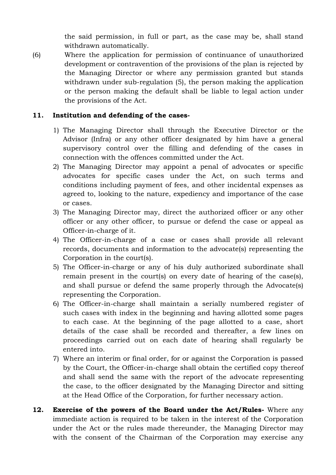the said permission, in full or part, as the case may be, shall stand withdrawn automatically.

(6) Where the application for permission of continuance of unauthorized development or contravention of the provisions of the plan is rejected by the Managing Director or where any permission granted but stands withdrawn under sub-regulation (5), the person making the application or the person making the default shall be liable to legal action under the provisions of the Act.

### **11. Institution and defending of the cases-**

- 1) The Managing Director shall through the Executive Director or the Advisor (Infra) or any other officer designated by him have a general supervisory control over the filling and defending of the cases in connection with the offences committed under the Act.
- 2) The Managing Director may appoint a penal of advocates or specific advocates for specific cases under the Act, on such terms and conditions including payment of fees, and other incidental expenses as agreed to, looking to the nature, expediency and importance of the case or cases.
- 3) The Managing Director may, direct the authorized officer or any other officer or any other officer, to pursue or defend the case or appeal as Officer-in-charge of it.
- 4) The Officer-in-charge of a case or cases shall provide all relevant records, documents and information to the advocate(s) representing the Corporation in the court(s).
- 5) The Officer-in-charge or any of his duly authorized subordinate shall remain present in the court(s) on every date of hearing of the case(s), and shall pursue or defend the same properly through the Advocate(s) representing the Corporation.
- 6) The Officer-in-charge shall maintain a serially numbered register of such cases with index in the beginning and having allotted some pages to each case. At the beginning of the page allotted to a case, short details of the case shall be recorded and thereafter, a few lines on proceedings carried out on each date of hearing shall regularly be entered into.
- 7) Where an interim or final order, for or against the Corporation is passed by the Court, the Officer-in-charge shall obtain the certified copy thereof and shall send the same with the report of the advocate representing the case, to the officer designated by the Managing Director and sitting at the Head Office of the Corporation, for further necessary action.
- **12. Exercise of the powers of the Board under the Act/Rules-** Where any immediate action is required to be taken in the interest of the Corporation under the Act or the rules made thereunder, the Managing Director may with the consent of the Chairman of the Corporation may exercise any